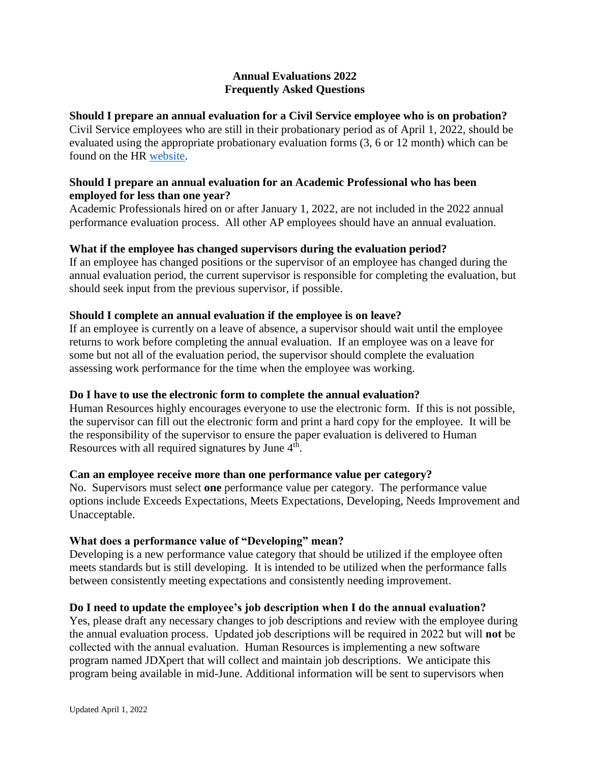## **Annual Evaluations 2022 Frequently Asked Questions**

## **Should I prepare an annual evaluation for a Civil Service employee who is on probation?**

Civil Service employees who are still in their probationary period as of April 1, 2022, should be evaluated using the appropriate probationary evaluation forms (3, 6 or 12 month) which can be found on the HR [website.](https://www.uis.edu/humanresources/evaluations/)

## **Should I prepare an annual evaluation for an Academic Professional who has been employed for less than one year?**

Academic Professionals hired on or after January 1, 2022, are not included in the 2022 annual performance evaluation process. All other AP employees should have an annual evaluation.

# **What if the employee has changed supervisors during the evaluation period?**

If an employee has changed positions or the supervisor of an employee has changed during the annual evaluation period, the current supervisor is responsible for completing the evaluation, but should seek input from the previous supervisor, if possible.

# **Should I complete an annual evaluation if the employee is on leave?**

If an employee is currently on a leave of absence, a supervisor should wait until the employee returns to work before completing the annual evaluation. If an employee was on a leave for some but not all of the evaluation period, the supervisor should complete the evaluation assessing work performance for the time when the employee was working.

# **Do I have to use the electronic form to complete the annual evaluation?**

Human Resources highly encourages everyone to use the electronic form. If this is not possible, the supervisor can fill out the electronic form and print a hard copy for the employee. It will be the responsibility of the supervisor to ensure the paper evaluation is delivered to Human Resources with all required signatures by June  $4<sup>th</sup>$ .

#### **Can an employee receive more than one performance value per category?**

No. Supervisors must select **one** performance value per category. The performance value options include Exceeds Expectations, Meets Expectations, Developing, Needs Improvement and Unacceptable.

#### **What does a performance value of "Developing" mean?**

Developing is a new performance value category that should be utilized if the employee often meets standards but is still developing. It is intended to be utilized when the performance falls between consistently meeting expectations and consistently needing improvement.

#### **Do I need to update the employee's job description when I do the annual evaluation?**

Yes, please draft any necessary changes to job descriptions and review with the employee during the annual evaluation process. Updated job descriptions will be required in 2022 but will **not** be collected with the annual evaluation. Human Resources is implementing a new software program named JDXpert that will collect and maintain job descriptions. We anticipate this program being available in mid-June. Additional information will be sent to supervisors when